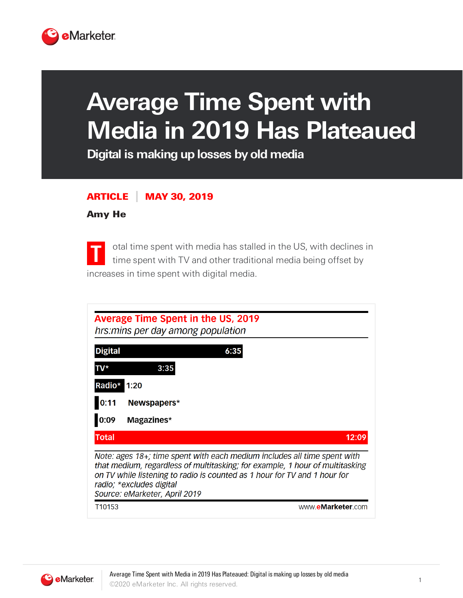

## **Average Time Spent with Media in 2019 Has Plateaued**

**Digital is making up losses by old media**

## ARTICLE MAY 30, 2019

## Amy He

**T** otal time spent with media has stalled in the US, with declines in time spent with TV and other traditional media being offset by increases in time spent with digital media.

| <b>Average Time Spent in the US, 2019</b><br>hrs: mins per day among population                                                                                                                                                                                                                    |                   |
|----------------------------------------------------------------------------------------------------------------------------------------------------------------------------------------------------------------------------------------------------------------------------------------------------|-------------------|
| <b>Digital</b>                                                                                                                                                                                                                                                                                     | 6:35              |
| TV*                                                                                                                                                                                                                                                                                                | 3:35              |
| Radio*                                                                                                                                                                                                                                                                                             | 1:20              |
| 0:11                                                                                                                                                                                                                                                                                               | Newspapers*       |
| 0:09                                                                                                                                                                                                                                                                                               | Magazines*        |
| <b>Total</b>                                                                                                                                                                                                                                                                                       | 12:09             |
| Note: ages 18+; time spent with each medium includes all time spent with<br>that medium, regardless of multitasking; for example, 1 hour of multitasking<br>on TV while listening to radio is counted as 1 hour for TV and 1 hour for<br>radio; *excludes digital<br>Source: eMarketer, April 2019 |                   |
| T <sub>10153</sub>                                                                                                                                                                                                                                                                                 | www.eMarketer.com |

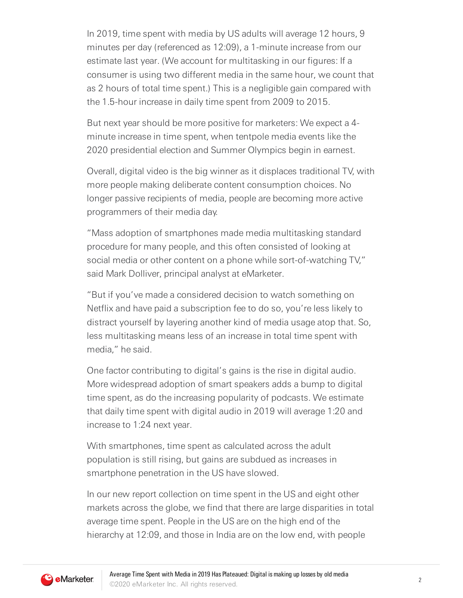In 2019, time spent with media by US adults will average 12 hours, 9 minutes per day (referenced as 12:09), a 1-minute increase from our estimate last year. (We account for multitasking in our figures: If a consumer is using two different media in the same hour, we count that as 2 hours of total time spent.) This is a negligible gain compared with the 1.5-hour increase in daily time spent from 2009 to 2015.

But next year should be more positive for marketers: We expect a 4 minute increase in time spent, when tentpole media events like the 2020 presidential election and Summer Olympics begin in earnest.

Overall, digital video is the big winner as it displaces traditional TV, with more people making deliberate content consumption choices. No longer passive recipients of media, people are becoming more active programmers of their media day.

"Mass adoption of smartphones made media multitasking standard procedure for many people, and this often consisted of looking at social media or other content on a phone while sort-of-watching TV," said Mark Dolliver, principal analyst at eMarketer.

"But if you've made a considered decision to watch something on Netflix and have paid a subscription fee to do so, you're less likely to distract yourself by layering another kind of media usage atop that. So, less multitasking means less of an increase in total time spent with media," he said.

One factor contributing to digital's gains is the rise in digital audio. More widespread adoption of smart speakers adds a bump to digital time spent, as do the increasing popularity of podcasts. We estimate that daily time spent with digital audio in 2019 will average 1:20 and increase to 1:24 next year.

With smartphones, time spent as calculated across the adult population is still rising, but gains are subdued as increases in smartphone penetration in the US have slowed.

In our new report collection on time spent in the US and eight other markets across the globe, we find that there are large disparities in total average time spent. People in the US are on the high end of the hierarchy at 12:09, and those in India are on the low end, with people